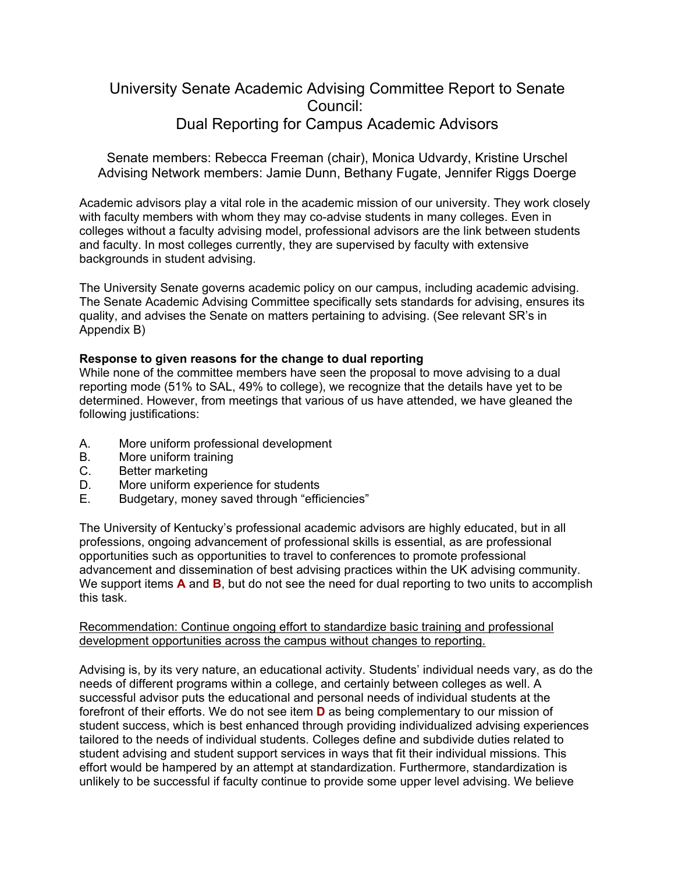# University Senate Academic Advising Committee Report to Senate Council: Dual Reporting for Campus Academic Advisors

Senate members: Rebecca Freeman (chair), Monica Udvardy, Kristine Urschel Advising Network members: Jamie Dunn, Bethany Fugate, Jennifer Riggs Doerge

Academic advisors play a vital role in the academic mission of our university. They work closely with faculty members with whom they may co-advise students in many colleges. Even in colleges without a faculty advising model, professional advisors are the link between students and faculty. In most colleges currently, they are supervised by faculty with extensive backgrounds in student advising.

The University Senate governs academic policy on our campus, including academic advising. The Senate Academic Advising Committee specifically sets standards for advising, ensures its quality, and advises the Senate on matters pertaining to advising. (See relevant SR's in Appendix B)

## **Response to given reasons for the change to dual reporting**

While none of the committee members have seen the proposal to move advising to a dual reporting mode (51% to SAL, 49% to college), we recognize that the details have yet to be determined. However, from meetings that various of us have attended, we have gleaned the following justifications:

- A. More uniform professional development
- B. More uniform training
- C. Better marketing
- D. More uniform experience for students<br>E. Budgetary, money saved through "effice
- Budgetary, money saved through "efficiencies"

The University of Kentucky's professional academic advisors are highly educated, but in all professions, ongoing advancement of professional skills is essential, as are professional opportunities such as opportunities to travel to conferences to promote professional advancement and dissemination of best advising practices within the UK advising community. We support items **A** and **B**, but do not see the need for dual reporting to two units to accomplish this task.

#### Recommendation: Continue ongoing effort to standardize basic training and professional development opportunities across the campus without changes to reporting.

Advising is, by its very nature, an educational activity. Students' individual needs vary, as do the needs of different programs within a college, and certainly between colleges as well. A successful advisor puts the educational and personal needs of individual students at the forefront of their efforts. We do not see item **D** as being complementary to our mission of student success, which is best enhanced through providing individualized advising experiences tailored to the needs of individual students. Colleges define and subdivide duties related to student advising and student support services in ways that fit their individual missions. This effort would be hampered by an attempt at standardization. Furthermore, standardization is unlikely to be successful if faculty continue to provide some upper level advising. We believe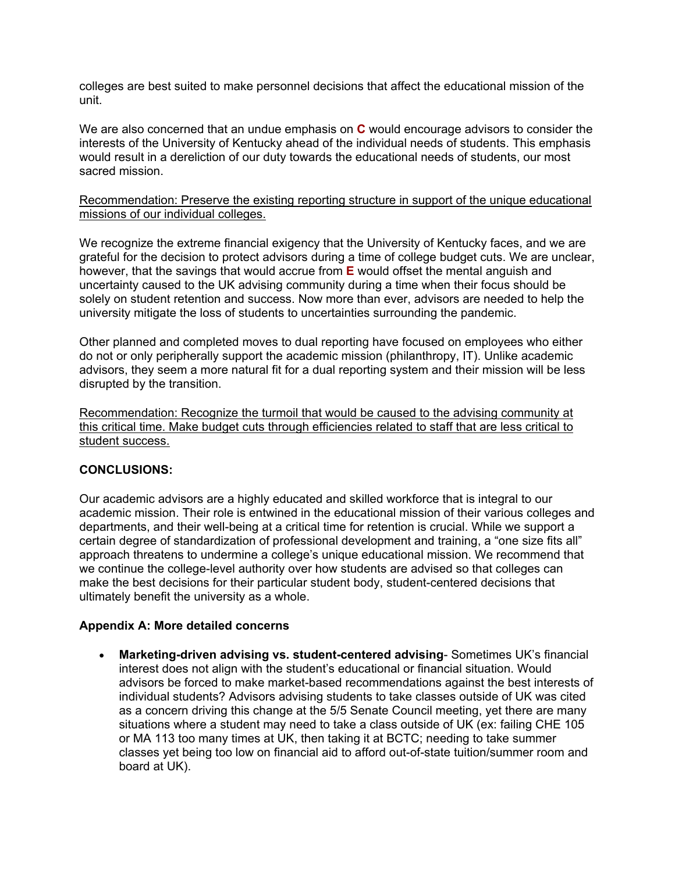colleges are best suited to make personnel decisions that affect the educational mission of the unit.

We are also concerned that an undue emphasis on **C** would encourage advisors to consider the interests of the University of Kentucky ahead of the individual needs of students. This emphasis would result in a dereliction of our duty towards the educational needs of students, our most sacred mission.

## Recommendation: Preserve the existing reporting structure in support of the unique educational missions of our individual colleges.

We recognize the extreme financial exigency that the University of Kentucky faces, and we are grateful for the decision to protect advisors during a time of college budget cuts. We are unclear, however, that the savings that would accrue from **E** would offset the mental anguish and uncertainty caused to the UK advising community during a time when their focus should be solely on student retention and success. Now more than ever, advisors are needed to help the university mitigate the loss of students to uncertainties surrounding the pandemic.

Other planned and completed moves to dual reporting have focused on employees who either do not or only peripherally support the academic mission (philanthropy, IT). Unlike academic advisors, they seem a more natural fit for a dual reporting system and their mission will be less disrupted by the transition.

Recommendation: Recognize the turmoil that would be caused to the advising community at this critical time. Make budget cuts through efficiencies related to staff that are less critical to student success.

## **CONCLUSIONS:**

Our academic advisors are a highly educated and skilled workforce that is integral to our academic mission. Their role is entwined in the educational mission of their various colleges and departments, and their well-being at a critical time for retention is crucial. While we support a certain degree of standardization of professional development and training, a "one size fits all" approach threatens to undermine a college's unique educational mission. We recommend that we continue the college-level authority over how students are advised so that colleges can make the best decisions for their particular student body, student-centered decisions that ultimately benefit the university as a whole.

#### **Appendix A: More detailed concerns**

• **Marketing-driven advising vs. student-centered advising**- Sometimes UK's financial interest does not align with the student's educational or financial situation. Would advisors be forced to make market-based recommendations against the best interests of individual students? Advisors advising students to take classes outside of UK was cited as a concern driving this change at the 5/5 Senate Council meeting, yet there are many situations where a student may need to take a class outside of UK (ex: failing CHE 105 or MA 113 too many times at UK, then taking it at BCTC; needing to take summer classes yet being too low on financial aid to afford out-of-state tuition/summer room and board at UK).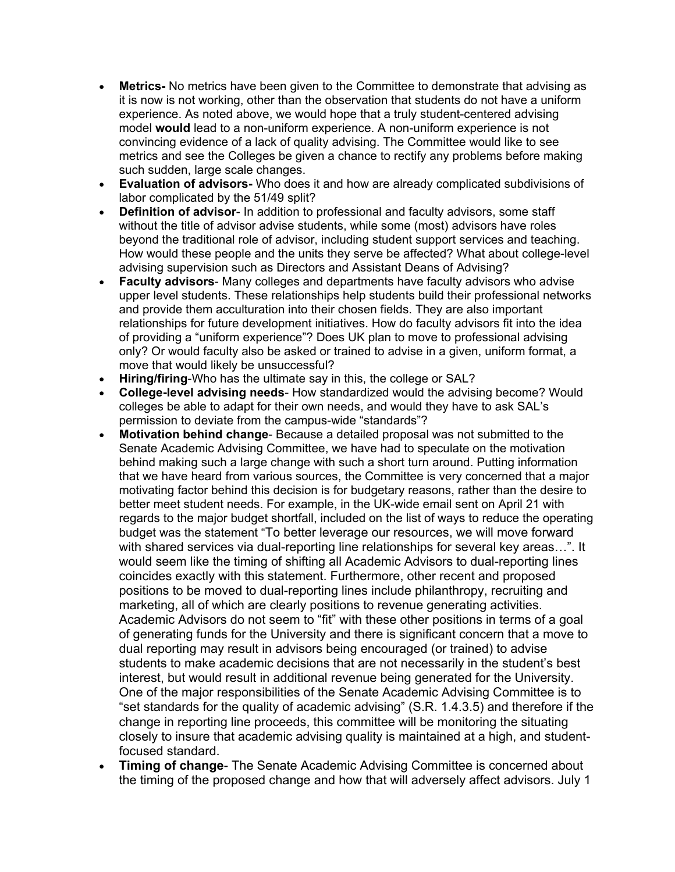- **Metrics-** No metrics have been given to the Committee to demonstrate that advising as it is now is not working, other than the observation that students do not have a uniform experience. As noted above, we would hope that a truly student-centered advising model **would** lead to a non-uniform experience. A non-uniform experience is not convincing evidence of a lack of quality advising. The Committee would like to see metrics and see the Colleges be given a chance to rectify any problems before making such sudden, large scale changes.
- **Evaluation of advisors-** Who does it and how are already complicated subdivisions of labor complicated by the 51/49 split?
- **Definition of advisor** In addition to professional and faculty advisors, some staff without the title of advisor advise students, while some (most) advisors have roles beyond the traditional role of advisor, including student support services and teaching. How would these people and the units they serve be affected? What about college-level advising supervision such as Directors and Assistant Deans of Advising?
- **Faculty advisors** Many colleges and departments have faculty advisors who advise upper level students. These relationships help students build their professional networks and provide them acculturation into their chosen fields. They are also important relationships for future development initiatives. How do faculty advisors fit into the idea of providing a "uniform experience"? Does UK plan to move to professional advising only? Or would faculty also be asked or trained to advise in a given, uniform format, a move that would likely be unsuccessful?
- **Hiring/firing**-Who has the ultimate say in this, the college or SAL?
- **College-level advising needs** How standardized would the advising become? Would colleges be able to adapt for their own needs, and would they have to ask SAL's permission to deviate from the campus-wide "standards"?
- **Motivation behind change** Because a detailed proposal was not submitted to the Senate Academic Advising Committee, we have had to speculate on the motivation behind making such a large change with such a short turn around. Putting information that we have heard from various sources, the Committee is very concerned that a major motivating factor behind this decision is for budgetary reasons, rather than the desire to better meet student needs. For example, in the UK-wide email sent on April 21 with regards to the major budget shortfall, included on the list of ways to reduce the operating budget was the statement "To better leverage our resources, we will move forward with shared services via dual-reporting line relationships for several key areas…". It would seem like the timing of shifting all Academic Advisors to dual-reporting lines coincides exactly with this statement. Furthermore, other recent and proposed positions to be moved to dual-reporting lines include philanthropy, recruiting and marketing, all of which are clearly positions to revenue generating activities. Academic Advisors do not seem to "fit" with these other positions in terms of a goal of generating funds for the University and there is significant concern that a move to dual reporting may result in advisors being encouraged (or trained) to advise students to make academic decisions that are not necessarily in the student's best interest, but would result in additional revenue being generated for the University. One of the major responsibilities of the Senate Academic Advising Committee is to "set standards for the quality of academic advising" (S.R. 1.4.3.5) and therefore if the change in reporting line proceeds, this committee will be monitoring the situating closely to insure that academic advising quality is maintained at a high, and studentfocused standard.
- **Timing of change** The Senate Academic Advising Committee is concerned about the timing of the proposed change and how that will adversely affect advisors. July 1